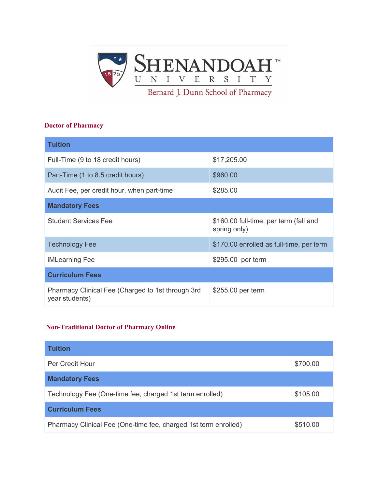

#### **Doctor of Pharmacy**

| <b>Tuition</b>                                                      |                                                        |
|---------------------------------------------------------------------|--------------------------------------------------------|
| Full-Time (9 to 18 credit hours)                                    | \$17,205.00                                            |
| Part-Time (1 to 8.5 credit hours)                                   | \$960.00                                               |
| Audit Fee, per credit hour, when part-time                          | \$285.00                                               |
| <b>Mandatory Fees</b>                                               |                                                        |
| <b>Student Services Fee</b>                                         | \$160.00 full-time, per term (fall and<br>spring only) |
| <b>Technology Fee</b>                                               | \$170.00 enrolled as full-time, per term               |
| iMLearning Fee                                                      | \$295.00 per term                                      |
| <b>Curriculum Fees</b>                                              |                                                        |
| Pharmacy Clinical Fee (Charged to 1st through 3rd<br>year students) | \$255.00 per term                                      |

#### **Non-Traditional Doctor of Pharmacy Online**

| <b>Tuition</b>                                                  |          |  |
|-----------------------------------------------------------------|----------|--|
| Per Credit Hour                                                 | \$700.00 |  |
| <b>Mandatory Fees</b>                                           |          |  |
| Technology Fee (One-time fee, charged 1st term enrolled)        | \$105.00 |  |
| <b>Curriculum Fees</b>                                          |          |  |
| Pharmacy Clinical Fee (One-time fee, charged 1st term enrolled) | \$510.00 |  |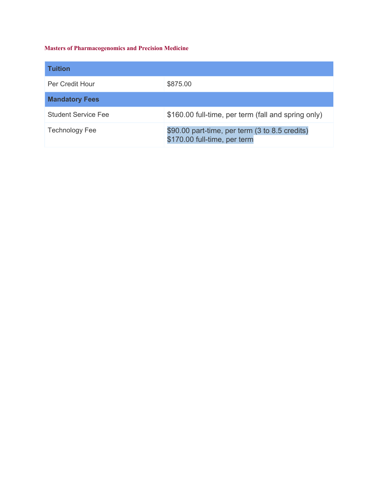#### **Masters of Pharmacogenomics and Precision Medicine**

| <b>Tuition</b>        |                                                                                |
|-----------------------|--------------------------------------------------------------------------------|
| Per Credit Hour       | \$875.00                                                                       |
| <b>Mandatory Fees</b> |                                                                                |
| Student Service Fee   | \$160.00 full-time, per term (fall and spring only)                            |
| <b>Technology Fee</b> | \$90.00 part-time, per term (3 to 8.5 credits)<br>\$170.00 full-time, per term |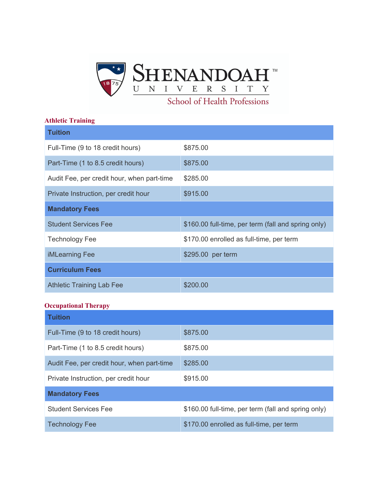

#### **Athletic Training**

| <b>Tuition</b>                             |                                                     |
|--------------------------------------------|-----------------------------------------------------|
| Full-Time (9 to 18 credit hours)           | \$875.00                                            |
| Part-Time (1 to 8.5 credit hours)          | \$875.00                                            |
| Audit Fee, per credit hour, when part-time | \$285.00                                            |
| Private Instruction, per credit hour       | \$915.00                                            |
| <b>Mandatory Fees</b>                      |                                                     |
| <b>Student Services Fee</b>                | \$160.00 full-time, per term (fall and spring only) |
| <b>Technology Fee</b>                      | \$170.00 enrolled as full-time, per term            |
| <b>iMLearning Fee</b>                      | \$295.00 per term                                   |
| <b>Curriculum Fees</b>                     |                                                     |
| <b>Athletic Training Lab Fee</b>           | \$200.00                                            |

#### **Occupational Therapy**

| <b>Tuition</b>                             |                                                     |  |
|--------------------------------------------|-----------------------------------------------------|--|
| Full-Time (9 to 18 credit hours)           | \$875.00                                            |  |
| Part-Time (1 to 8.5 credit hours)          | \$875.00                                            |  |
| Audit Fee, per credit hour, when part-time | \$285.00                                            |  |
| Private Instruction, per credit hour       | \$915.00                                            |  |
| <b>Mandatory Fees</b>                      |                                                     |  |
| <b>Student Services Fee</b>                | \$160.00 full-time, per term (fall and spring only) |  |
| <b>Technology Fee</b>                      | \$170.00 enrolled as full-time, per term            |  |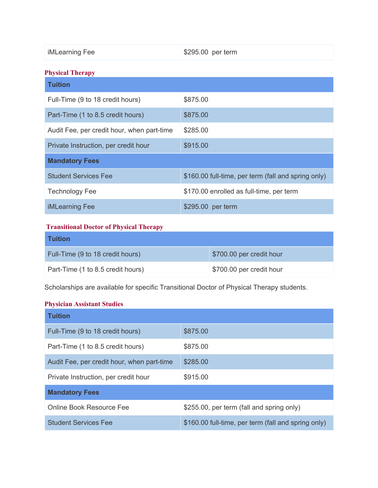| iMLearning Fee | \$295.00 per term |
|----------------|-------------------|
|                |                   |

## **Physical Therapy**

| <b>Tuition</b>                             |                                                     |  |
|--------------------------------------------|-----------------------------------------------------|--|
| Full-Time (9 to 18 credit hours)           | \$875.00                                            |  |
| Part-Time (1 to 8.5 credit hours)          | \$875.00                                            |  |
| Audit Fee, per credit hour, when part-time | \$285.00                                            |  |
| Private Instruction, per credit hour       | \$915.00                                            |  |
| <b>Mandatory Fees</b>                      |                                                     |  |
| <b>Student Services Fee</b>                | \$160.00 full-time, per term (fall and spring only) |  |
| <b>Technology Fee</b>                      | \$170.00 enrolled as full-time, per term            |  |
| <b>iMLearning Fee</b>                      | \$295.00 per term                                   |  |

#### **Transitional Doctor of Physical Therapy**

| <b>Tuition</b>                    |                          |
|-----------------------------------|--------------------------|
| Full-Time (9 to 18 credit hours)  | \$700.00 per credit hour |
| Part-Time (1 to 8.5 credit hours) | \$700.00 per credit hour |

Scholarships are available for specific Transitional Doctor of Physical Therapy students.

## **Physician Assistant Studies**

| <b>Tuition</b>                             |                                                     |  |
|--------------------------------------------|-----------------------------------------------------|--|
| Full-Time (9 to 18 credit hours)           | \$875.00                                            |  |
| Part-Time (1 to 8.5 credit hours)          | \$875.00                                            |  |
| Audit Fee, per credit hour, when part-time | \$285.00                                            |  |
| Private Instruction, per credit hour       | \$915.00                                            |  |
| <b>Mandatory Fees</b>                      |                                                     |  |
| Online Book Resource Fee                   | \$255.00, per term (fall and spring only)           |  |
| <b>Student Services Fee</b>                | \$160.00 full-time, per term (fall and spring only) |  |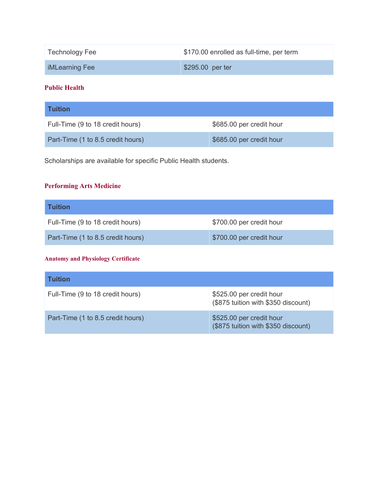| <b>Technology Fee</b> | \$170.00 enrolled as full-time, per term |
|-----------------------|------------------------------------------|
| <b>iMLearning Fee</b> | \$295.00 per ter                         |

#### **Public Health**

| <b>Tuition</b>                    |                          |
|-----------------------------------|--------------------------|
| Full-Time (9 to 18 credit hours)  | \$685.00 per credit hour |
| Part-Time (1 to 8.5 credit hours) | \$685.00 per credit hour |

Scholarships are available for specific Public Health students.

## **Performing Arts Medicine**

| <b>Tuition</b>                    |                          |
|-----------------------------------|--------------------------|
| Full-Time (9 to 18 credit hours)  | \$700.00 per credit hour |
| Part-Time (1 to 8.5 credit hours) | \$700.00 per credit hour |

#### **Anatomy and Physiology Certificate**

| <b>Tuition</b>                    |                                                                 |
|-----------------------------------|-----------------------------------------------------------------|
| Full-Time (9 to 18 credit hours)  | \$525.00 per credit hour<br>(\$875 tuition with \$350 discount) |
| Part-Time (1 to 8.5 credit hours) | \$525.00 per credit hour<br>(\$875 tuition with \$350 discount) |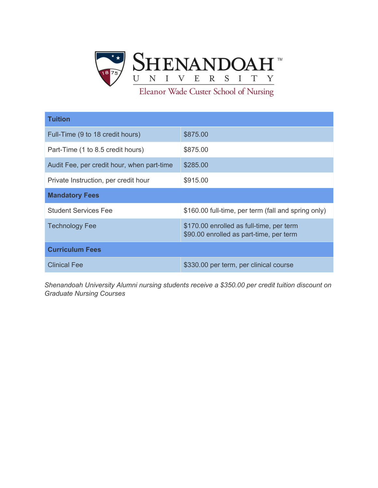

Eleanor Wade Custer School of Nursing

| <b>Tuition</b>                             |                                                                                     |  |
|--------------------------------------------|-------------------------------------------------------------------------------------|--|
| Full-Time (9 to 18 credit hours)           | \$875.00                                                                            |  |
| Part-Time (1 to 8.5 credit hours)          | \$875.00                                                                            |  |
| Audit Fee, per credit hour, when part-time | \$285.00                                                                            |  |
| Private Instruction, per credit hour       | \$915.00                                                                            |  |
| <b>Mandatory Fees</b>                      |                                                                                     |  |
| <b>Student Services Fee</b>                | \$160.00 full-time, per term (fall and spring only)                                 |  |
| <b>Technology Fee</b>                      | \$170.00 enrolled as full-time, per term<br>\$90.00 enrolled as part-time, per term |  |
| <b>Curriculum Fees</b>                     |                                                                                     |  |
| <b>Clinical Fee</b>                        | \$330.00 per term, per clinical course                                              |  |

*Shenandoah University Alumni nursing students receive a \$350.00 per credit tuition discount on Graduate Nursing Courses*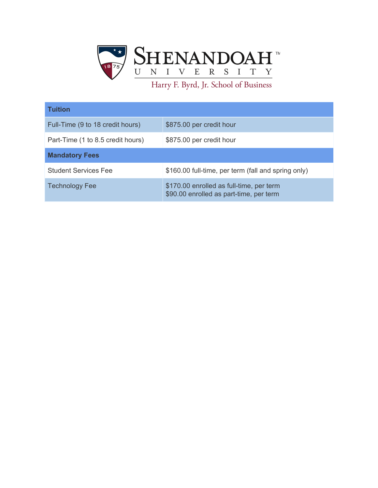

| <b>Tuition</b>                    |                                                                                     |  |
|-----------------------------------|-------------------------------------------------------------------------------------|--|
| Full-Time (9 to 18 credit hours)  | \$875.00 per credit hour                                                            |  |
| Part-Time (1 to 8.5 credit hours) | \$875.00 per credit hour                                                            |  |
| <b>Mandatory Fees</b>             |                                                                                     |  |
| <b>Student Services Fee</b>       | \$160.00 full-time, per term (fall and spring only)                                 |  |
| <b>Technology Fee</b>             | \$170.00 enrolled as full-time, per term<br>\$90.00 enrolled as part-time, per term |  |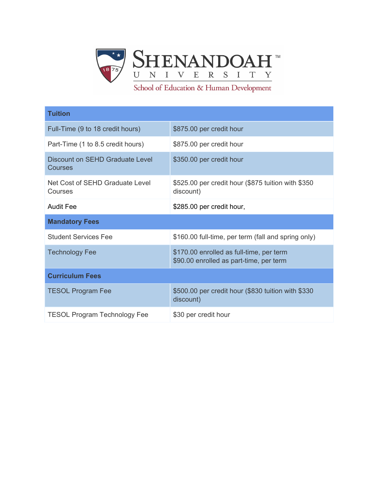

School of Education & Human Development

| <b>Tuition</b>                                    |                                                                                     |  |
|---------------------------------------------------|-------------------------------------------------------------------------------------|--|
| Full-Time (9 to 18 credit hours)                  | \$875.00 per credit hour                                                            |  |
| Part-Time (1 to 8.5 credit hours)                 | \$875.00 per credit hour                                                            |  |
| Discount on SEHD Graduate Level<br><b>Courses</b> | \$350.00 per credit hour                                                            |  |
| Net Cost of SEHD Graduate Level<br>Courses        | \$525.00 per credit hour (\$875 tuition with \$350<br>discount)                     |  |
| Audit Fee                                         | \$285.00 per credit hour,                                                           |  |
| <b>Mandatory Fees</b>                             |                                                                                     |  |
| <b>Student Services Fee</b>                       | \$160.00 full-time, per term (fall and spring only)                                 |  |
| <b>Technology Fee</b>                             | \$170.00 enrolled as full-time, per term<br>\$90.00 enrolled as part-time, per term |  |
| <b>Curriculum Fees</b>                            |                                                                                     |  |
| <b>TESOL Program Fee</b>                          | \$500.00 per credit hour (\$830 tuition with \$330<br>discount)                     |  |
| <b>TESOL Program Technology Fee</b>               | \$30 per credit hour                                                                |  |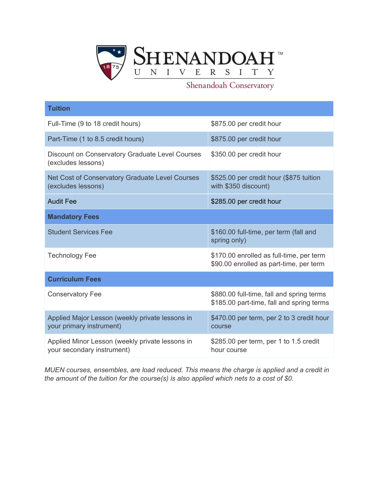

## Shenandoah Conservatory

| <b>Tuition</b>                                                                |                                                                                        |
|-------------------------------------------------------------------------------|----------------------------------------------------------------------------------------|
| Full-Time (9 to 18 credit hours)                                              | \$875.00 per credit hour                                                               |
| Part-Time (1 to 8.5 credit hours)                                             | \$875.00 per credit hour                                                               |
| Discount on Conservatory Graduate Level Courses<br>(excludes lessons)         | \$350.00 per credit hour                                                               |
| Net Cost of Conservatory Graduate Level Courses<br>(excludes lessons)         | \$525.00 per credit hour (\$875 tuition<br>with \$350 discount)                        |
| <b>Audit Fee</b>                                                              | \$285.00 per credit hour                                                               |
| <b>Mandatory Fees</b>                                                         |                                                                                        |
| <b>Student Services Fee</b>                                                   | \$160.00 full-time, per term (fall and<br>spring only)                                 |
| <b>Technology Fee</b>                                                         | \$170.00 enrolled as full-time, per term<br>\$90.00 enrolled as part-time, per term    |
| <b>Curriculum Fees</b>                                                        |                                                                                        |
| <b>Conservatory Fee</b>                                                       | \$880.00 full-time, fall and spring terms<br>\$185.00 part-time, fall and spring terms |
| Applied Major Lesson (weekly private lessons in<br>your primary instrument)   | \$470.00 per term, per 2 to 3 credit hour<br>course                                    |
| Applied Minor Lesson (weekly private lessons in<br>your secondary instrument) | \$285.00 per term, per 1 to 1.5 credit<br>hour course                                  |

*MUEN courses, ensembles, are load reduced. This means the charge is applied and a credit in the amount of the tuition for the course(s) is also applied which nets to a cost of \$0.*